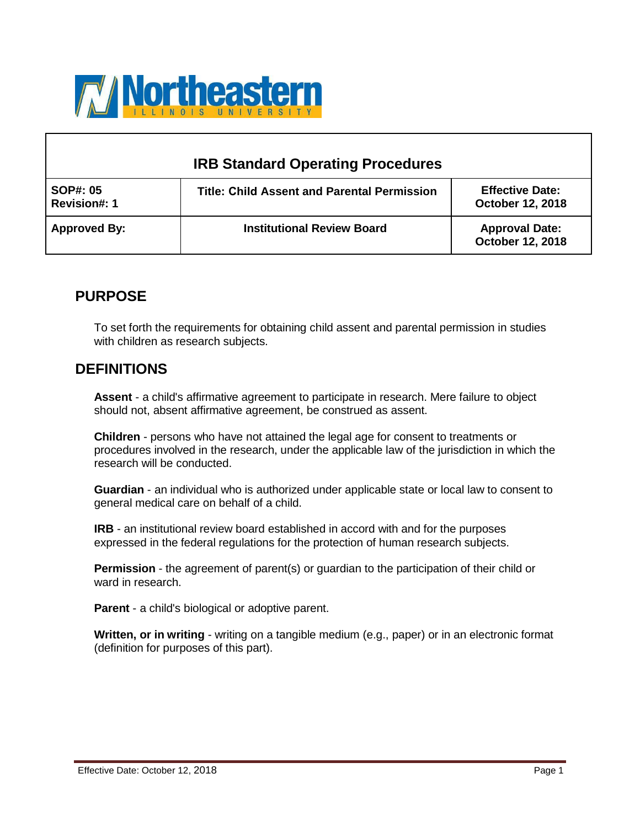

# **IRB Standard Operating Procedures**

| SOP#: 05<br>Revision#: 1 | <b>Title: Child Assent and Parental Permission</b> | <b>Effective Date:</b><br><b>October 12, 2018</b> |
|--------------------------|----------------------------------------------------|---------------------------------------------------|
| <b>Approved By:</b>      | <b>Institutional Review Board</b>                  | <b>Approval Date:</b><br>October 12, 2018         |

## **PURPOSE**

To set forth the requirements for obtaining child assent and parental permission in studies with children as research subjects.

## **DEFINITIONS**

**Assent** - a child's affirmative agreement to participate in research. Mere failure to object should not, absent affirmative agreement, be construed as assent.

**Children** - persons who have not attained the legal age for consent to treatments or procedures involved in the research, under the applicable law of the jurisdiction in which the research will be conducted.

**Guardian** - an individual who is authorized under applicable state or local law to consent to general medical care on behalf of a child.

**IRB** - an institutional review board established in accord with and for the purposes expressed in the federal regulations for the protection of human research subjects.

**Permission** - the agreement of parent(s) or guardian to the participation of their child or ward in research.

**Parent** - a child's biological or adoptive parent.

**Written, or in writing** - writing on a tangible medium (e.g., paper) or in an electronic format (definition for purposes of this part).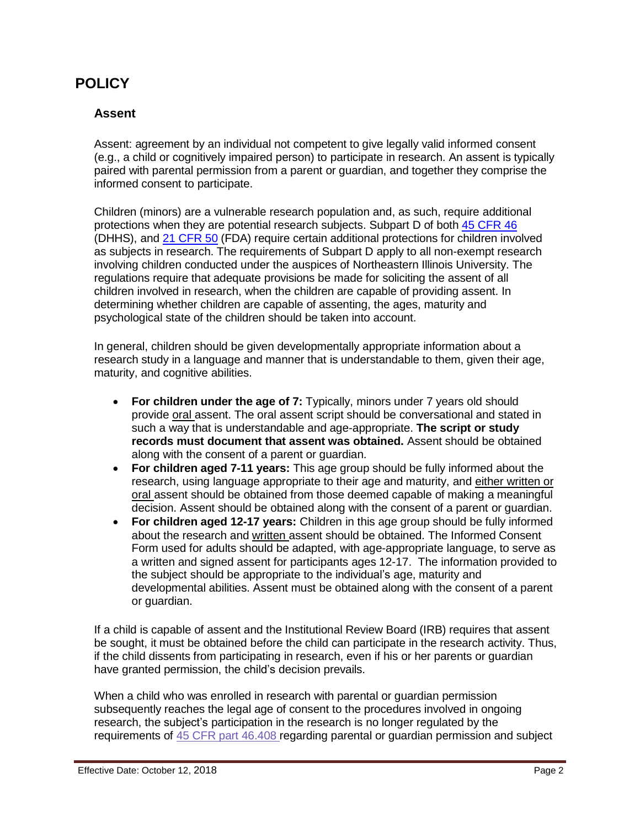## **POLICY**

#### **Assent**

Assent: agreement by an individual not competent to give legally valid informed consent (e.g., a child or cognitively impaired person) to participate in research. An assent is typically paired with parental permission from a parent or guardian, and together they comprise the informed consent to participate.

Children (minors) are a vulnerable research population and, as such, require additional protections when they are potential research subjects. Subpart D of both 45 [CFR](https://www.hhs.gov/ohrp/regulations-and-policy/regulations/45-cfr-46/index.html) 46 (DHHS), and [21 CFR](https://www.accessdata.fda.gov/scripts/cdrh/cfdocs/cfcfr/CFRSearch.cfm?CFRPart=50) 50 (FDA) require certain additional protections for children involved as subjects in research. The requirements of Subpart D apply to all non-exempt research involving children conducted under the auspices of Northeastern Illinois University. The regulations require that adequate provisions be made for soliciting the assent of all children involved in research, when the children are capable of providing assent. In determining whether children are capable of assenting, the ages, maturity and psychological state of the children should be taken into account.

In general, children should be given developmentally appropriate information about a research study in a language and manner that is understandable to them, given their age, maturity, and cognitive abilities.

- **For children under the age of 7:** Typically, minors under 7 years old should provide oral assent. The oral assent script should be conversational and stated in such a way that is understandable and age-appropriate. **The script or study records must document that assent was obtained.** Assent should be obtained along with the consent of a parent or guardian.
- **For children aged 7-11 years:** This age group should be fully informed about the research, using language appropriate to their age and maturity, and either written or oral assent should be obtained from those deemed capable of making a meaningful decision. Assent should be obtained along with the consent of a parent or guardian.
- **For children aged 12-17 years:** Children in this age group should be fully informed about the research and written assent should be obtained. The Informed Consent Form used for adults should be adapted, with age-appropriate language, to serve as a written and signed assent for participants ages 12-17. The information provided to the subject should be appropriate to the individual's age, maturity and developmental abilities. Assent must be obtained along with the consent of a parent or guardian.

If a child is capable of assent and the Institutional Review Board (IRB) requires that assent be sought, it must be obtained before the child can participate in the research activity. Thus, if the child dissents from participating in research, even if his or her parents or guardian have granted permission, the child's decision prevails.

When a child who was enrolled in research with parental or guardian permission subsequently reaches the legal age of consent to the procedures involved in ongoing research, the subject's participation in the research is no longer regulated by the requirements of 45 CFR [part 46.408](https://www.hhs.gov/ohrp/regulations-and-policy/regulations/45-cfr-46/index.html#46.408) regarding parental or guardian permission and subject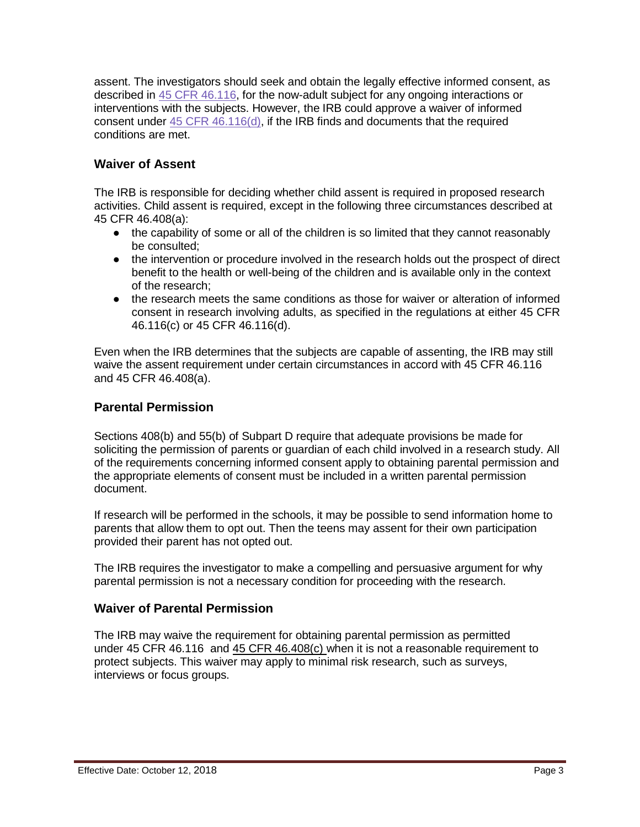assent. The investigators should seek and obtain the legally effective informed consent, as described in 45 [CFR 46.116,](https://www.hhs.gov/ohrp/regulations-and-policy/regulations/45-cfr-46/index.html#46.116) for the now-adult subject for any ongoing interactions or interventions with the subjects. However, the IRB could approve a waiver of informed consent under [45 CFR 46.116\(d\),](https://www.hhs.gov/ohrp/regulations-and-policy/regulations/45-cfr-46/index.html#46.116) if the IRB finds and documents that the required conditions are met.

### **Waiver of Assent**

The IRB is responsible for deciding whether child assent is required in proposed research activities. Child assent is required, except in the following three circumstances described at 45 CFR 46.408(a):

- the capability of some or all of the children is so limited that they cannot reasonably be consulted;
- the intervention or procedure involved in the research holds out the prospect of direct benefit to the health or well-being of the children and is available only in the context of the research;
- the research meets the same conditions as those for waiver or alteration of informed consent in research involving adults, as specified in the regulations at either 45 CFR 46.116(c) or 45 CFR 46.116(d).

Even when the IRB determines that the subjects are capable of assenting, the IRB may still waive the assent requirement under certain circumstances in accord with 45 CFR 46.116 and 45 CFR 46.408(a).

### **Parental Permission**

Sections 408(b) and 55(b) of Subpart D require that adequate provisions be made for soliciting the permission of parents or guardian of each child involved in a research study. All of the requirements concerning informed consent apply to obtaining parental permission and the appropriate elements of consent must be included in a written parental permission document.

If research will be performed in the schools, it may be possible to send information home to parents that allow them to opt out. Then the teens may assent for their own participation provided their parent has not opted out.

The IRB requires the investigator to make a compelling and persuasive argument for why parental permission is not a necessary condition for proceeding with the research.

#### **Waiver of Parental Permission**

The IRB may waive the requirement for obtaining parental permission as permitted under 45 CFR 46.116 and [45 CFR 46.408\(c\)](https://www.hhs.gov/ohrp/regulations-and-policy/regulations/45-cfr-46/index.html#46.408) when it is not a reasonable requirement to protect subjects. This waiver may apply to minimal risk research, such as surveys, interviews or focus groups.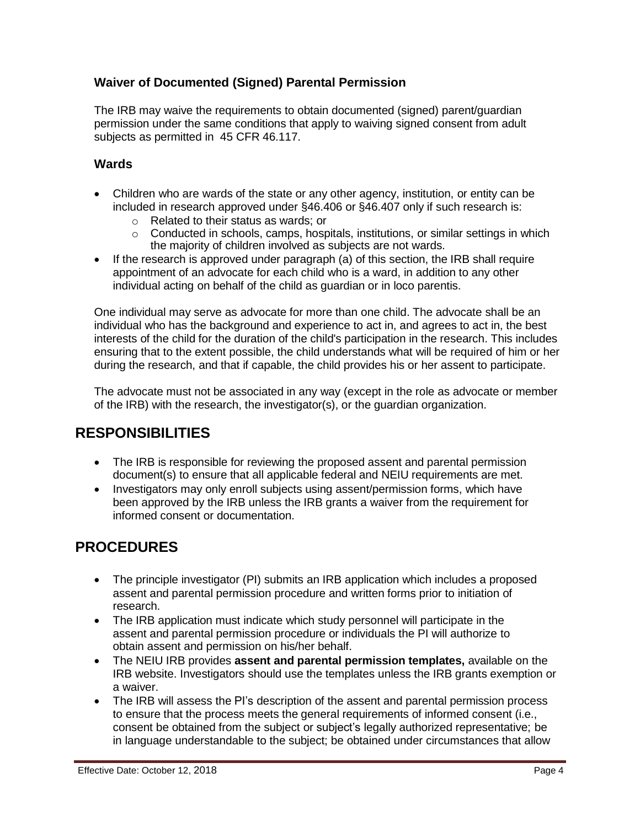### **Waiver of Documented (Signed) Parental Permission**

The IRB may waive the requirements to obtain documented (signed) parent/guardian permission under the same conditions that apply to waiving signed consent from adult subjects as permitted in 45 CFR 46.117.

### **Wards**

- Children who are wards of the state or any other agency, institution, or entity can be included in research approved under §46.406 or §46.407 only if such research is:
	- o Related to their status as wards; or
	- $\circ$  Conducted in schools, camps, hospitals, institutions, or similar settings in which the majority of children involved as subjects are not wards.
- If the research is approved under paragraph (a) of this section, the IRB shall require appointment of an advocate for each child who is a ward, in addition to any other individual acting on behalf of the child as guardian or in loco parentis.

One individual may serve as advocate for more than one child. The advocate shall be an individual who has the background and experience to act in, and agrees to act in, the best interests of the child for the duration of the child's participation in the research. This includes ensuring that to the extent possible, the child understands what will be required of him or her during the research, and that if capable, the child provides his or her assent to participate.

The advocate must not be associated in any way (except in the role as advocate or member of the IRB) with the research, the investigator(s), or the guardian organization.

# **RESPONSIBILITIES**

- The IRB is responsible for reviewing the proposed assent and parental permission document(s) to ensure that all applicable federal and NEIU requirements are met.
- Investigators may only enroll subjects using assent/permission forms, which have been approved by the IRB unless the IRB grants a waiver from the requirement for informed consent or documentation.

# **PROCEDURES**

- The principle investigator (PI) submits an IRB application which includes a proposed assent and parental permission procedure and written forms prior to initiation of research.
- The IRB application must indicate which study personnel will participate in the assent and parental permission procedure or individuals the PI will authorize to obtain assent and permission on his/her behalf.
- The NEIU IRB provides **assent and parental permission templates,** available on the IRB website. Investigators should use the templates unless the IRB grants exemption or a waiver.
- The IRB will assess the PI's description of the assent and parental permission process to ensure that the process meets the general requirements of informed consent (i.e., consent be obtained from the subject or subject's legally authorized representative; be in language understandable to the subject; be obtained under circumstances that allow